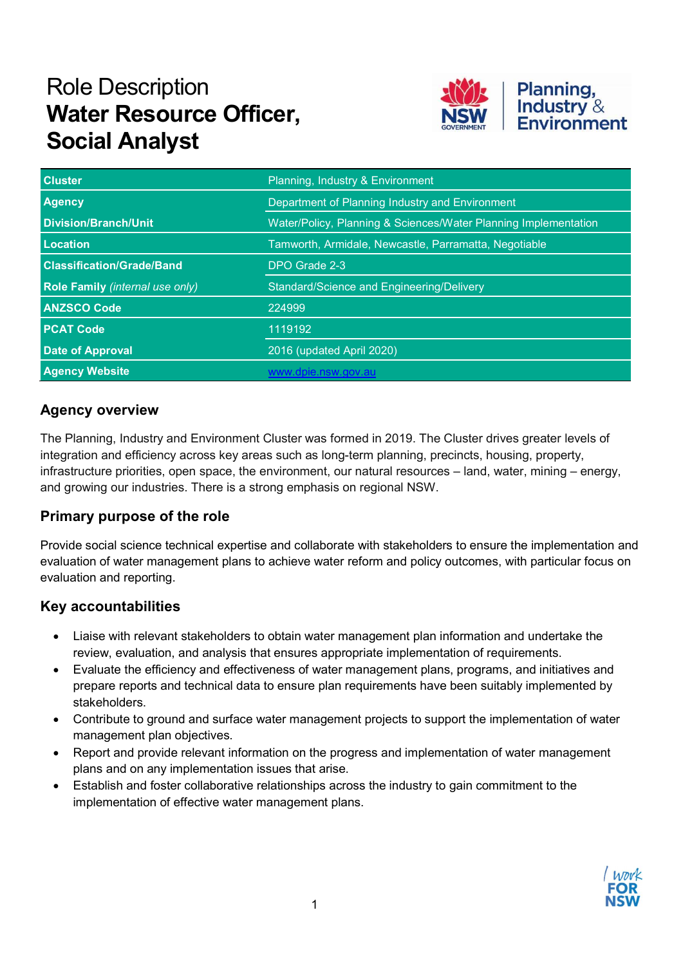# Role Description Water Resource Officer, Social Analyst



| <b>Cluster</b>                         | Planning, Industry & Environment                                |
|----------------------------------------|-----------------------------------------------------------------|
| <b>Agency</b>                          | Department of Planning Industry and Environment                 |
| <b>Division/Branch/Unit</b>            | Water/Policy, Planning & Sciences/Water Planning Implementation |
| <b>Location</b>                        | Tamworth, Armidale, Newcastle, Parramatta, Negotiable           |
| <b>Classification/Grade/Band</b>       | DPO Grade 2-3                                                   |
| <b>Role Family (internal use only)</b> | Standard/Science and Engineering/Delivery                       |
| <b>ANZSCO Code</b>                     | 224999                                                          |
| <b>PCAT Code</b>                       | 1119192                                                         |
| <b>Date of Approval</b>                | 2016 (updated April 2020)                                       |
| <b>Agency Website</b>                  | www.dpie.nsw.gov.au                                             |

## Agency overview

The Planning, Industry and Environment Cluster was formed in 2019. The Cluster drives greater levels of integration and efficiency across key areas such as long-term planning, precincts, housing, property, infrastructure priorities, open space, the environment, our natural resources – land, water, mining – energy, and growing our industries. There is a strong emphasis on regional NSW.

#### Primary purpose of the role

Provide social science technical expertise and collaborate with stakeholders to ensure the implementation and evaluation of water management plans to achieve water reform and policy outcomes, with particular focus on evaluation and reporting.

#### Key accountabilities

- Liaise with relevant stakeholders to obtain water management plan information and undertake the review, evaluation, and analysis that ensures appropriate implementation of requirements.
- Evaluate the efficiency and effectiveness of water management plans, programs, and initiatives and prepare reports and technical data to ensure plan requirements have been suitably implemented by stakeholders.
- Contribute to ground and surface water management projects to support the implementation of water management plan objectives.
- Report and provide relevant information on the progress and implementation of water management plans and on any implementation issues that arise.
- Establish and foster collaborative relationships across the industry to gain commitment to the implementation of effective water management plans.

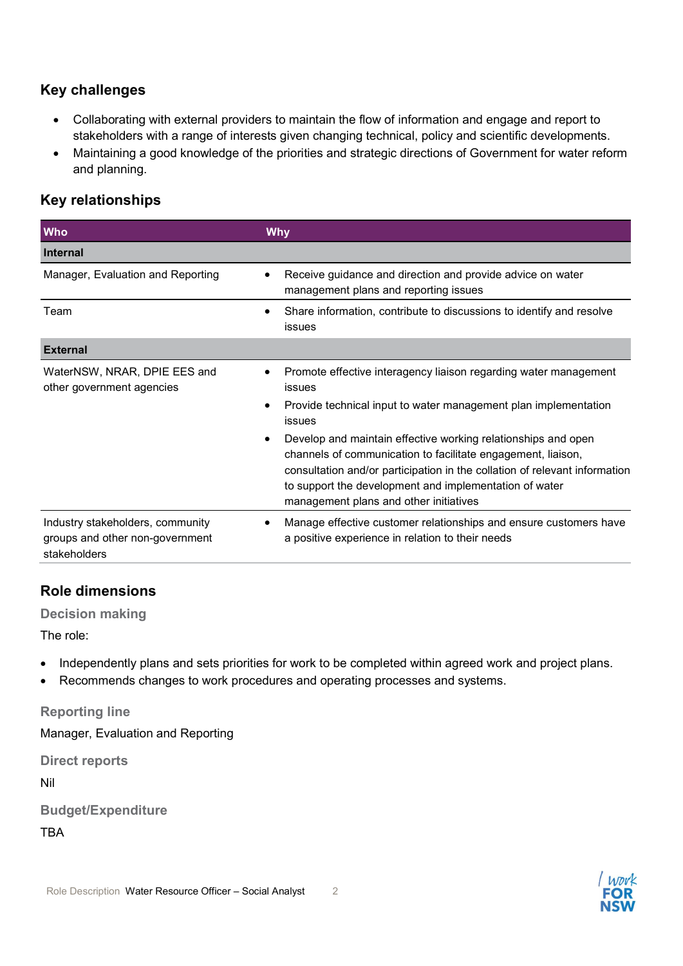### Key challenges

- Collaborating with external providers to maintain the flow of information and engage and report to stakeholders with a range of interests given changing technical, policy and scientific developments.
- Maintaining a good knowledge of the priorities and strategic directions of Government for water reform and planning.

## Key relationships

| <b>Who</b>                                                                          | <b>Why</b>                                                                                                                                                                                                                                                                                                                                                                                                                                                                                                               |
|-------------------------------------------------------------------------------------|--------------------------------------------------------------------------------------------------------------------------------------------------------------------------------------------------------------------------------------------------------------------------------------------------------------------------------------------------------------------------------------------------------------------------------------------------------------------------------------------------------------------------|
| <b>Internal</b>                                                                     |                                                                                                                                                                                                                                                                                                                                                                                                                                                                                                                          |
| Manager, Evaluation and Reporting                                                   | Receive guidance and direction and provide advice on water<br>٠<br>management plans and reporting issues                                                                                                                                                                                                                                                                                                                                                                                                                 |
| Team                                                                                | Share information, contribute to discussions to identify and resolve<br>٠<br><b>issues</b>                                                                                                                                                                                                                                                                                                                                                                                                                               |
| <b>External</b>                                                                     |                                                                                                                                                                                                                                                                                                                                                                                                                                                                                                                          |
| WaterNSW, NRAR, DPIE EES and<br>other government agencies                           | Promote effective interagency liaison regarding water management<br>$\bullet$<br><b>issues</b><br>Provide technical input to water management plan implementation<br>$\bullet$<br>issues<br>Develop and maintain effective working relationships and open<br>$\bullet$<br>channels of communication to facilitate engagement, liaison,<br>consultation and/or participation in the collation of relevant information<br>to support the development and implementation of water<br>management plans and other initiatives |
| Industry stakeholders, community<br>groups and other non-government<br>stakeholders | Manage effective customer relationships and ensure customers have<br>٠<br>a positive experience in relation to their needs                                                                                                                                                                                                                                                                                                                                                                                               |

#### Role dimensions

Decision making

The role:

- Independently plans and sets priorities for work to be completed within agreed work and project plans.
- Recommends changes to work procedures and operating processes and systems.

Reporting line

Manager, Evaluation and Reporting

Direct reports

Nil

|     | <b>Budget/Expenditure</b> |  |
|-----|---------------------------|--|
| ___ |                           |  |

TBA

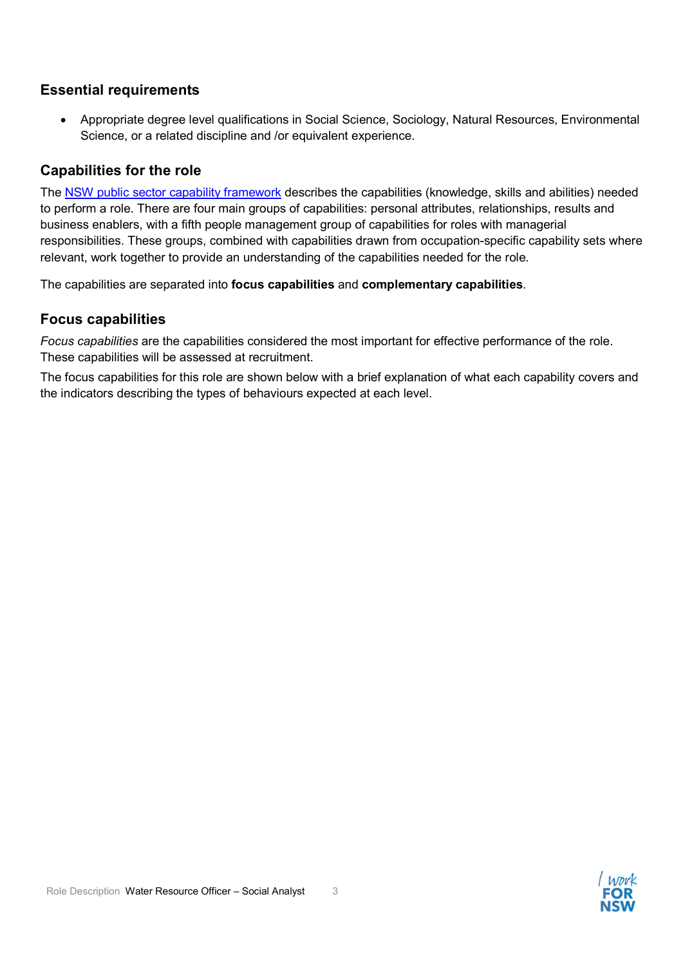#### Essential requirements

 Appropriate degree level qualifications in Social Science, Sociology, Natural Resources, Environmental Science, or a related discipline and /or equivalent experience.

#### Capabilities for the role

The NSW public sector capability framework describes the capabilities (knowledge, skills and abilities) needed to perform a role. There are four main groups of capabilities: personal attributes, relationships, results and business enablers, with a fifth people management group of capabilities for roles with managerial responsibilities. These groups, combined with capabilities drawn from occupation-specific capability sets where relevant, work together to provide an understanding of the capabilities needed for the role.

The capabilities are separated into focus capabilities and complementary capabilities.

#### Focus capabilities

Focus capabilities are the capabilities considered the most important for effective performance of the role. These capabilities will be assessed at recruitment.

The focus capabilities for this role are shown below with a brief explanation of what each capability covers and the indicators describing the types of behaviours expected at each level.

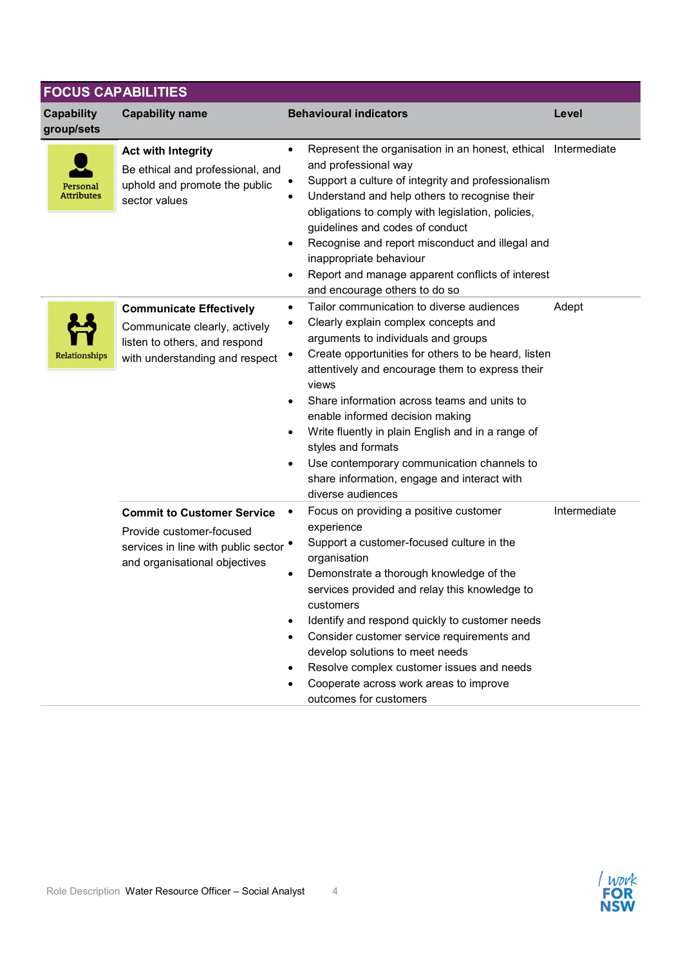|                               | <b>FOCUS CAPABILITIES</b>                                                                                                                       |                                                                                                                                                                                                                                                                                                                                                                                                                                                                                                                                 |              |
|-------------------------------|-------------------------------------------------------------------------------------------------------------------------------------------------|---------------------------------------------------------------------------------------------------------------------------------------------------------------------------------------------------------------------------------------------------------------------------------------------------------------------------------------------------------------------------------------------------------------------------------------------------------------------------------------------------------------------------------|--------------|
| Capability<br>group/sets      | <b>Capability name</b>                                                                                                                          | <b>Behavioural indicators</b>                                                                                                                                                                                                                                                                                                                                                                                                                                                                                                   | Level        |
| Personal<br><b>Attributes</b> | <b>Act with Integrity</b><br>Be ethical and professional, and<br>uphold and promote the public<br>sector values                                 | Represent the organisation in an honest, ethical Intermediate<br>$\bullet$<br>and professional way<br>Support a culture of integrity and professionalism<br>Understand and help others to recognise their<br>obligations to comply with legislation, policies,<br>guidelines and codes of conduct<br>Recognise and report misconduct and illegal and<br>inappropriate behaviour<br>Report and manage apparent conflicts of interest<br>and encourage others to do so                                                            |              |
| Relationships                 | <b>Communicate Effectively</b><br>Communicate clearly, actively<br>listen to others, and respond<br>with understanding and respect              | Tailor communication to diverse audiences<br>Clearly explain complex concepts and<br>٠<br>arguments to individuals and groups<br>Create opportunities for others to be heard, listen<br>attentively and encourage them to express their<br>views<br>Share information across teams and units to<br>enable informed decision making<br>Write fluently in plain English and in a range of<br>styles and formats<br>Use contemporary communication channels to<br>share information, engage and interact with<br>diverse audiences | Adept        |
|                               | <b>Commit to Customer Service</b><br>Provide customer-focused<br>services in line with public sector $\bullet$<br>and organisational objectives | Focus on providing a positive customer<br>experience<br>Support a customer-focused culture in the<br>organisation<br>Demonstrate a thorough knowledge of the<br>services provided and relay this knowledge to<br>customers<br>Identify and respond quickly to customer needs<br>Consider customer service requirements and<br>develop solutions to meet needs<br>Resolve complex customer issues and needs<br>Cooperate across work areas to improve<br>outcomes for customers                                                  | Intermediate |

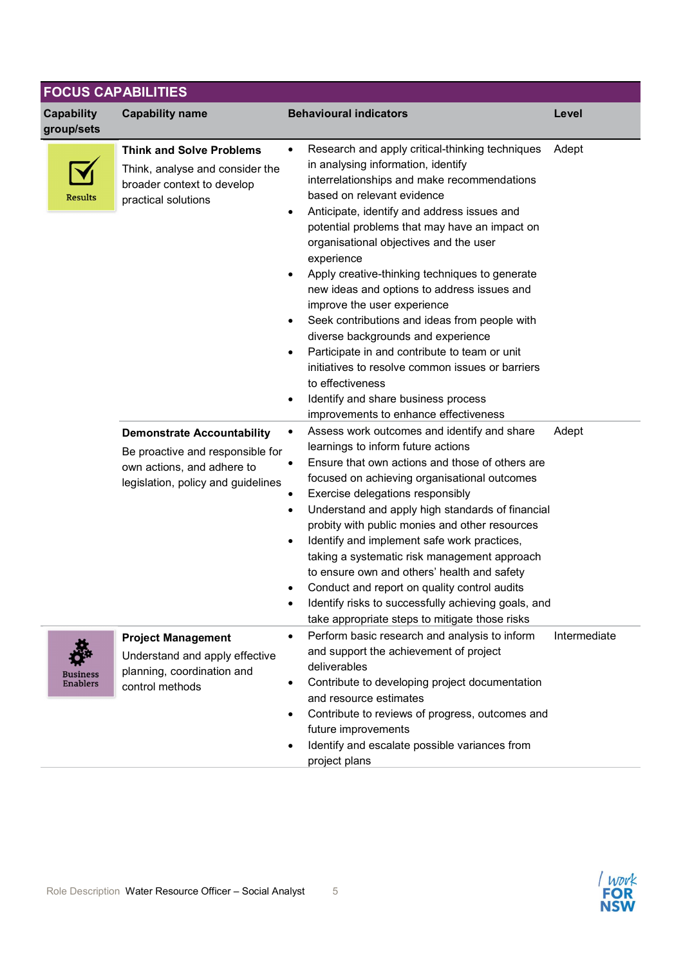| <b>Capability</b>                  | <b>Capability name</b>                                                                                                                    | <b>Behavioural indicators</b>                                                                                                                                                                                                                                                                                                                                                                                                                                                                                                                                                                                                                                                                                                                                                                                               | Level        |
|------------------------------------|-------------------------------------------------------------------------------------------------------------------------------------------|-----------------------------------------------------------------------------------------------------------------------------------------------------------------------------------------------------------------------------------------------------------------------------------------------------------------------------------------------------------------------------------------------------------------------------------------------------------------------------------------------------------------------------------------------------------------------------------------------------------------------------------------------------------------------------------------------------------------------------------------------------------------------------------------------------------------------------|--------------|
| group/sets<br><b>Results</b>       | <b>Think and Solve Problems</b><br>Think, analyse and consider the<br>broader context to develop<br>practical solutions                   | Research and apply critical-thinking techniques<br>$\bullet$<br>in analysing information, identify<br>interrelationships and make recommendations<br>based on relevant evidence<br>Anticipate, identify and address issues and<br>$\bullet$<br>potential problems that may have an impact on<br>organisational objectives and the user<br>experience<br>Apply creative-thinking techniques to generate<br>$\bullet$<br>new ideas and options to address issues and<br>improve the user experience<br>Seek contributions and ideas from people with<br>$\bullet$<br>diverse backgrounds and experience<br>Participate in and contribute to team or unit<br>$\bullet$<br>initiatives to resolve common issues or barriers<br>to effectiveness<br>Identify and share business process<br>improvements to enhance effectiveness | Adept        |
|                                    | <b>Demonstrate Accountability</b><br>Be proactive and responsible for<br>own actions, and adhere to<br>legislation, policy and guidelines | Assess work outcomes and identify and share<br>$\bullet$<br>learnings to inform future actions<br>Ensure that own actions and those of others are<br>focused on achieving organisational outcomes<br>Exercise delegations responsibly<br>Understand and apply high standards of financial<br>٠<br>probity with public monies and other resources<br>Identify and implement safe work practices,<br>$\bullet$<br>taking a systematic risk management approach<br>to ensure own and others' health and safety<br>Conduct and report on quality control audits<br>Identify risks to successfully achieving goals, and<br>٠                                                                                                                                                                                                     | Adept        |
| <b>Business</b><br><b>Enablers</b> | <b>Project Management</b><br>Understand and apply effective<br>planning, coordination and<br>control methods                              | take appropriate steps to mitigate those risks<br>Perform basic research and analysis to inform<br>$\bullet$<br>and support the achievement of project<br>deliverables<br>Contribute to developing project documentation<br>and resource estimates<br>Contribute to reviews of progress, outcomes and<br>٠<br>future improvements<br>Identify and escalate possible variances from<br>project plans                                                                                                                                                                                                                                                                                                                                                                                                                         | Intermediate |